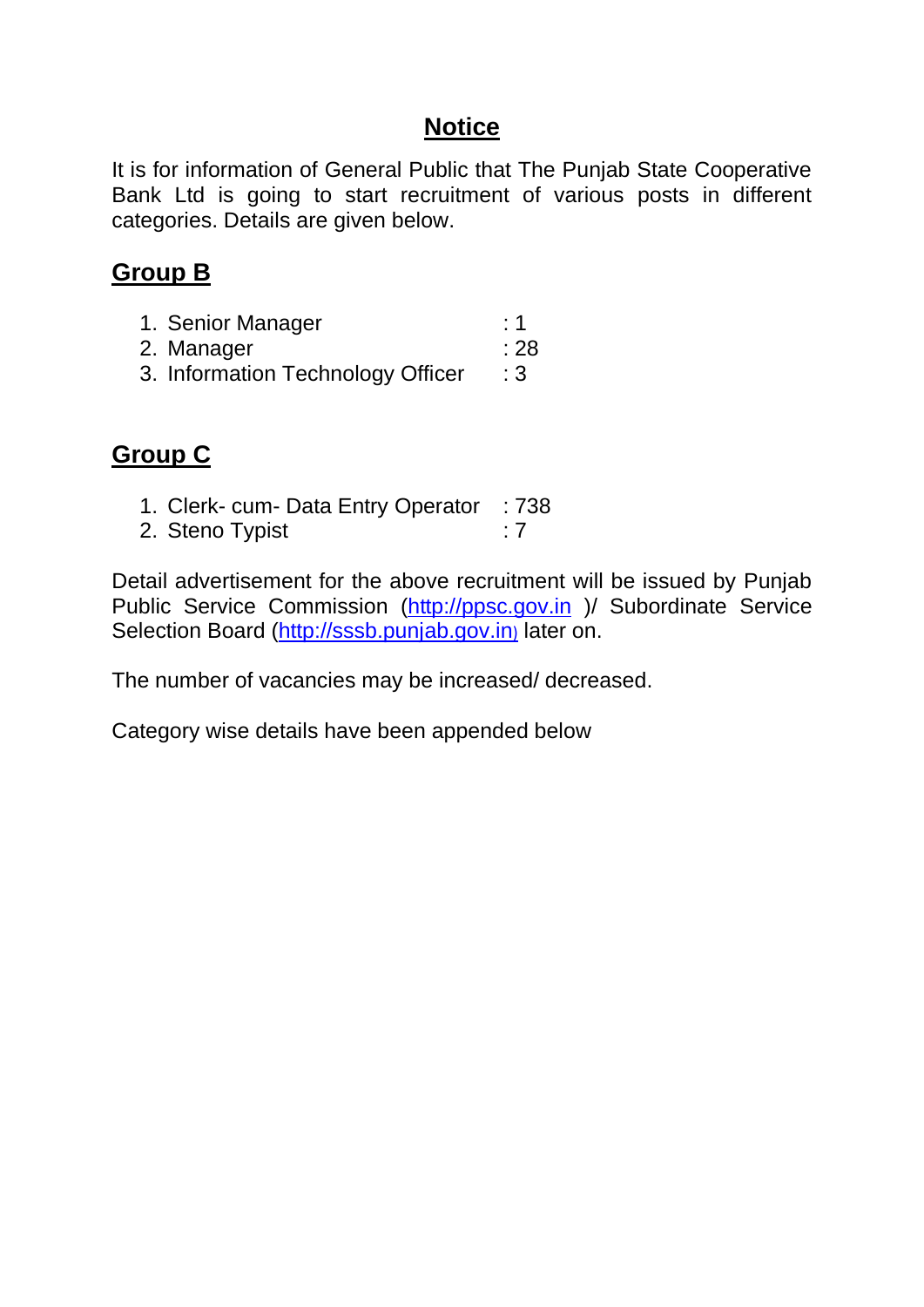### **Notice**

It is for information of General Public that The Punjab State Cooperative Bank Ltd is going to start recruitment of various posts in different categories. Details are given below.

### **Group B**

| 1. Senior Manager                 | :1  |
|-----------------------------------|-----|
| 2. Manager                        | :28 |
| 3. Information Technology Officer | :3  |

### **Group C**

| 1. Clerk- cum- Data Entry Operator : 738 |  |
|------------------------------------------|--|
| 2. Steno Typist                          |  |

Detail advertisement for the above recruitment will be issued by Punjab Public Service Commission [\(http://ppsc.gov.in](http://ppsc.gov.in/) )/ Subordinate Service Selection Board (http://sssb.punjab.gov.in) later on.

The number of vacancies may be increased/ decreased.

Category wise details have been appended below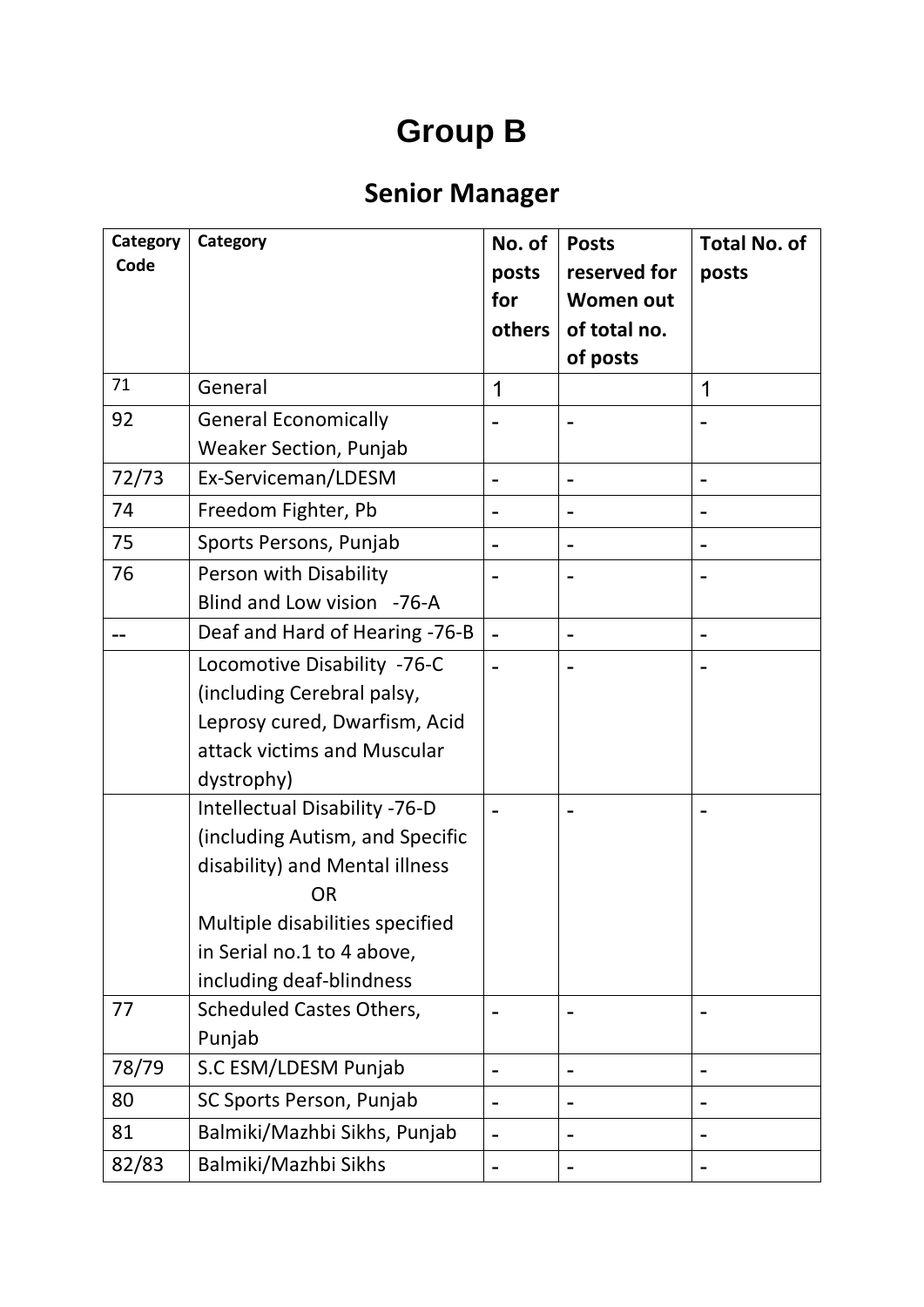# **Group B**

## **Senior Manager**

| Category | Category                        | No. of                   | <b>Posts</b>     | <b>Total No. of</b> |
|----------|---------------------------------|--------------------------|------------------|---------------------|
| Code     |                                 | posts                    | reserved for     | posts               |
|          |                                 | for                      | <b>Women out</b> |                     |
|          |                                 | others                   | of total no.     |                     |
|          |                                 |                          | of posts         |                     |
| 71       | General                         | $\overline{1}$           |                  | 1                   |
| 92       | <b>General Economically</b>     |                          |                  |                     |
|          | <b>Weaker Section, Punjab</b>   |                          |                  |                     |
| 72/73    | Ex-Serviceman/LDESM             |                          |                  |                     |
| 74       | Freedom Fighter, Pb             |                          |                  |                     |
| 75       | Sports Persons, Punjab          |                          |                  |                     |
| 76       | Person with Disability          |                          |                  |                     |
|          | Blind and Low vision -76-A      |                          |                  |                     |
|          | Deaf and Hard of Hearing -76-B  |                          |                  |                     |
|          | Locomotive Disability -76-C     |                          |                  |                     |
|          | (including Cerebral palsy,      |                          |                  |                     |
|          | Leprosy cured, Dwarfism, Acid   |                          |                  |                     |
|          | attack victims and Muscular     |                          |                  |                     |
|          | dystrophy)                      |                          |                  |                     |
|          | Intellectual Disability -76-D   |                          |                  |                     |
|          | (including Autism, and Specific |                          |                  |                     |
|          | disability) and Mental illness  |                          |                  |                     |
|          | <b>OR</b>                       |                          |                  |                     |
|          | Multiple disabilities specified |                          |                  |                     |
|          | in Serial no.1 to 4 above,      |                          |                  |                     |
|          | including deaf-blindness        |                          |                  |                     |
| 77       | <b>Scheduled Castes Others,</b> |                          |                  |                     |
|          | Punjab                          |                          |                  |                     |
| 78/79    | S.C ESM/LDESM Punjab            | -                        | $\blacksquare$   | $\blacksquare$      |
| 80       | SC Sports Person, Punjab        |                          |                  |                     |
| 81       | Balmiki/Mazhbi Sikhs, Punjab    | $\overline{\phantom{0}}$ |                  | $\blacksquare$      |
| 82/83    | Balmiki/Mazhbi Sikhs            |                          |                  |                     |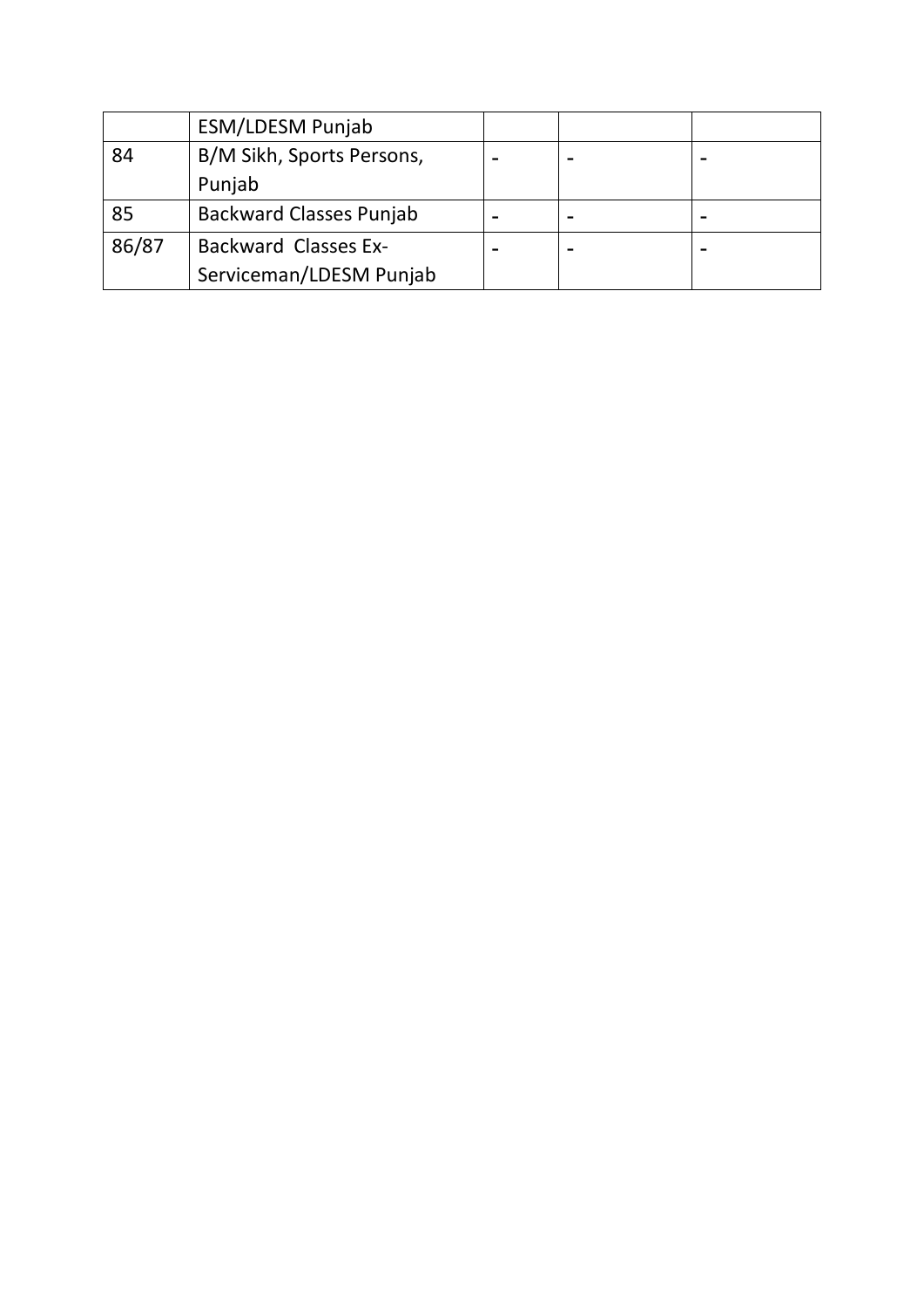|                                      | <b>ESM/LDESM Punjab</b>        |  |   |
|--------------------------------------|--------------------------------|--|---|
| 84                                   | B/M Sikh, Sports Persons,      |  | - |
|                                      | Punjab                         |  |   |
| 85                                   | <b>Backward Classes Punjab</b> |  |   |
| 86/87<br><b>Backward Classes Ex-</b> |                                |  |   |
|                                      | Serviceman/LDESM Punjab        |  |   |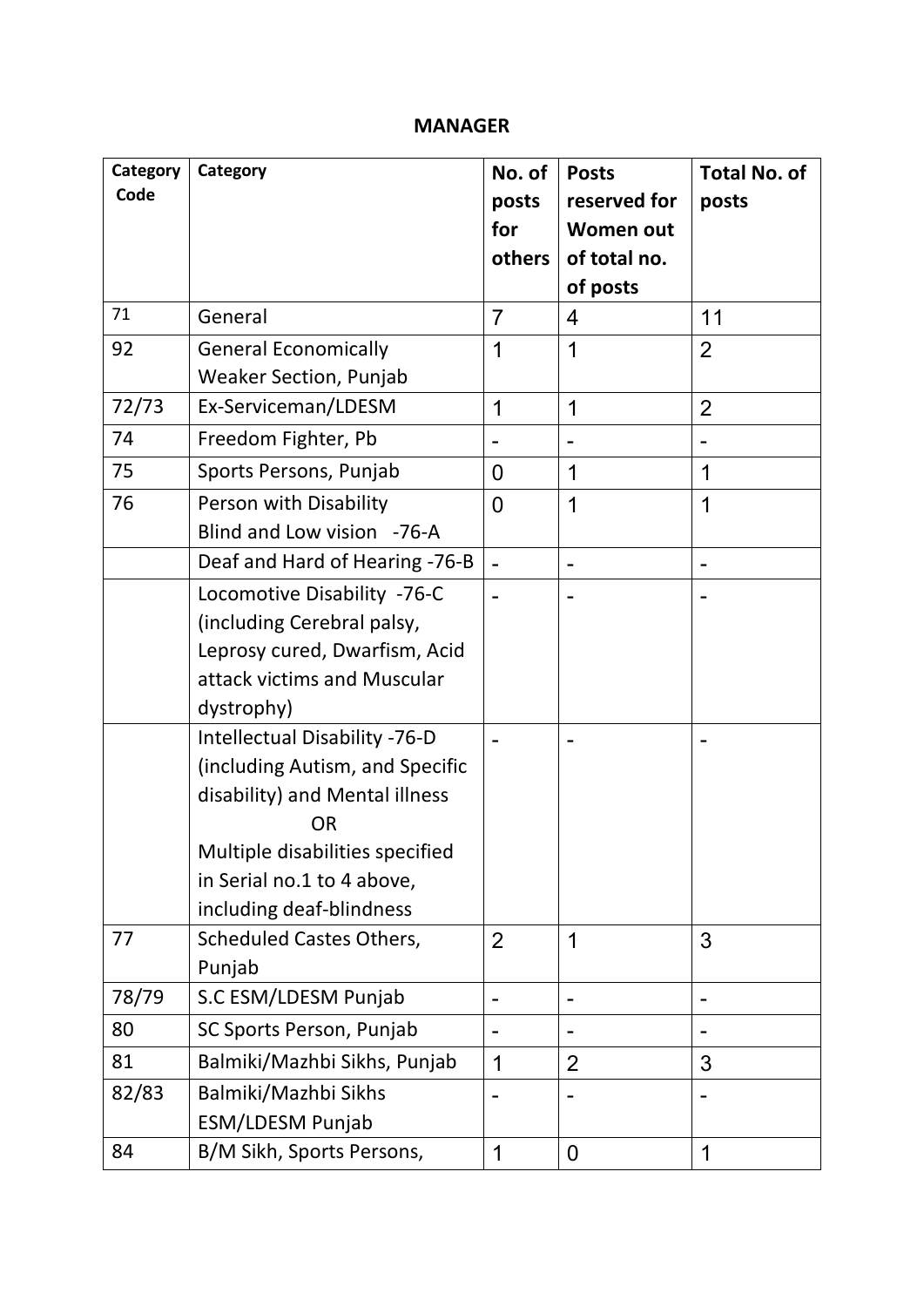#### **MANAGER**

| Category | Category                        | No. of                       | <b>Posts</b>     | <b>Total No. of</b>          |
|----------|---------------------------------|------------------------------|------------------|------------------------------|
| Code     |                                 | posts                        | reserved for     | posts                        |
|          |                                 | for                          | <b>Women out</b> |                              |
|          |                                 | others                       | of total no.     |                              |
|          |                                 |                              | of posts         |                              |
| 71       | General                         | $\overline{7}$               | 4                | 11                           |
| 92       | <b>General Economically</b>     | 1                            | 1                | $\overline{2}$               |
|          | <b>Weaker Section, Punjab</b>   |                              |                  |                              |
| 72/73    | Ex-Serviceman/LDESM             | $\mathbf 1$                  | 1                | $\overline{2}$               |
| 74       | Freedom Fighter, Pb             |                              |                  |                              |
| 75       | Sports Persons, Punjab          | $\overline{0}$               | 1                | 1                            |
| 76       | Person with Disability          | $\overline{0}$               | 1                | 1                            |
|          | Blind and Low vision -76-A      |                              |                  |                              |
|          | Deaf and Hard of Hearing -76-B  |                              |                  |                              |
|          | Locomotive Disability -76-C     |                              |                  |                              |
|          | (including Cerebral palsy,      |                              |                  |                              |
|          | Leprosy cured, Dwarfism, Acid   |                              |                  |                              |
|          | attack victims and Muscular     |                              |                  |                              |
|          | dystrophy)                      |                              |                  |                              |
|          | Intellectual Disability -76-D   |                              |                  |                              |
|          | (including Autism, and Specific |                              |                  |                              |
|          | disability) and Mental illness  |                              |                  |                              |
|          | <b>OR</b>                       |                              |                  |                              |
|          | Multiple disabilities specified |                              |                  |                              |
|          | in Serial no.1 to 4 above,      |                              |                  |                              |
|          | including deaf-blindness        |                              |                  |                              |
| 77       | <b>Scheduled Castes Others,</b> | $\overline{2}$               | 1                | 3                            |
|          | Punjab                          |                              |                  |                              |
| 78/79    | S.C ESM/LDESM Punjab            | $\qquad \qquad \blacksquare$ | $\overline{a}$   | $\qquad \qquad \blacksquare$ |
| 80       | SC Sports Person, Punjab        |                              |                  |                              |
| 81       | Balmiki/Mazhbi Sikhs, Punjab    | 1                            | $\overline{2}$   | 3                            |
| 82/83    | Balmiki/Mazhbi Sikhs            |                              |                  |                              |
|          | <b>ESM/LDESM Punjab</b>         |                              |                  |                              |
| 84       | B/M Sikh, Sports Persons,       | 1                            | 0                | 1                            |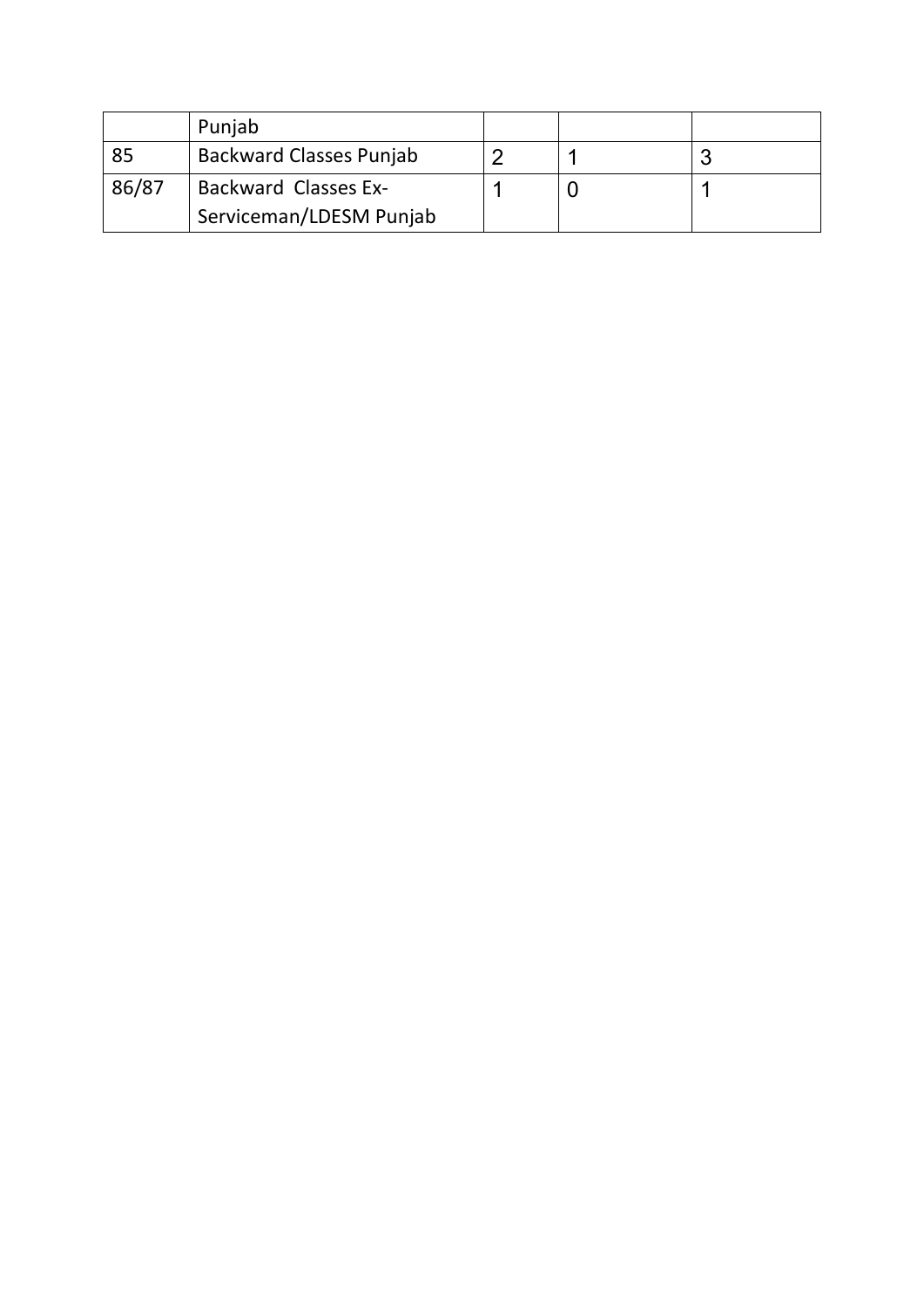|                                      | Punjab                      |  |  |
|--------------------------------------|-----------------------------|--|--|
| <b>Backward Classes Punjab</b><br>85 |                             |  |  |
| 86/87                                | <b>Backward Classes Ex-</b> |  |  |
|                                      | Serviceman/LDESM Punjab     |  |  |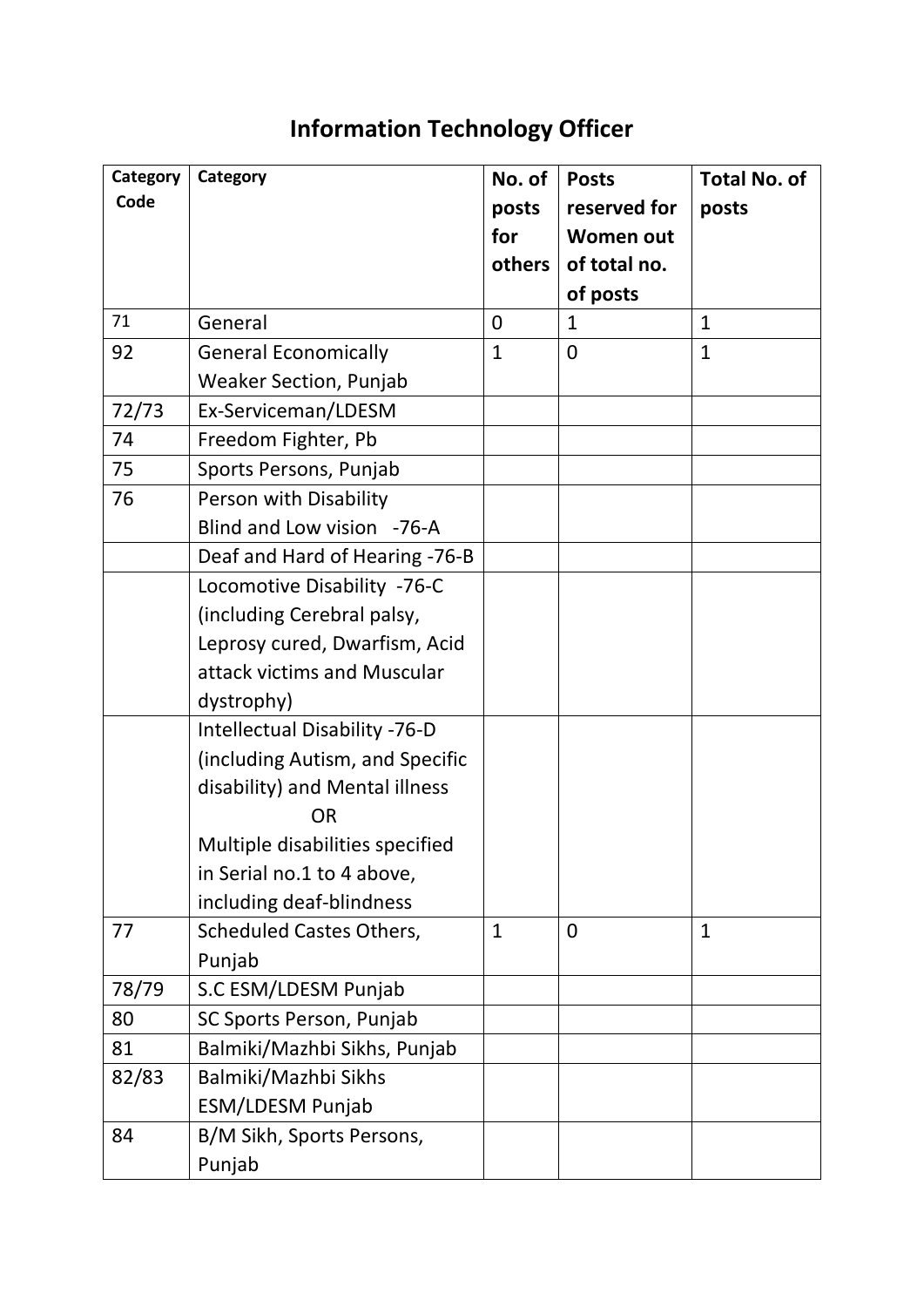## **Information Technology Officer**

| Category | Category                        | No. of       | <b>Posts</b>     | <b>Total No. of</b> |
|----------|---------------------------------|--------------|------------------|---------------------|
| Code     |                                 | posts        | reserved for     | posts               |
|          |                                 | for          | <b>Women out</b> |                     |
|          |                                 | others       | of total no.     |                     |
|          |                                 |              | of posts         |                     |
| 71       | General                         | 0            | $\mathbf{1}$     | $\mathbf{1}$        |
| 92       | <b>General Economically</b>     | 1            | $\mathbf 0$      | $\mathbf{1}$        |
|          | <b>Weaker Section, Punjab</b>   |              |                  |                     |
| 72/73    | Ex-Serviceman/LDESM             |              |                  |                     |
| 74       | Freedom Fighter, Pb             |              |                  |                     |
| 75       | Sports Persons, Punjab          |              |                  |                     |
| 76       | Person with Disability          |              |                  |                     |
|          | Blind and Low vision -76-A      |              |                  |                     |
|          | Deaf and Hard of Hearing -76-B  |              |                  |                     |
|          | Locomotive Disability -76-C     |              |                  |                     |
|          | (including Cerebral palsy,      |              |                  |                     |
|          | Leprosy cured, Dwarfism, Acid   |              |                  |                     |
|          | attack victims and Muscular     |              |                  |                     |
|          | dystrophy)                      |              |                  |                     |
|          | Intellectual Disability -76-D   |              |                  |                     |
|          | (including Autism, and Specific |              |                  |                     |
|          | disability) and Mental illness  |              |                  |                     |
|          | <b>OR</b>                       |              |                  |                     |
|          | Multiple disabilities specified |              |                  |                     |
|          | in Serial no.1 to 4 above,      |              |                  |                     |
|          | including deaf-blindness        |              |                  |                     |
| 77       | <b>Scheduled Castes Others,</b> | $\mathbf{1}$ | $\overline{0}$   | $\mathbf{1}$        |
|          | Punjab                          |              |                  |                     |
| 78/79    | S.C ESM/LDESM Punjab            |              |                  |                     |
| 80       | SC Sports Person, Punjab        |              |                  |                     |
| 81       | Balmiki/Mazhbi Sikhs, Punjab    |              |                  |                     |
| 82/83    | Balmiki/Mazhbi Sikhs            |              |                  |                     |
|          | <b>ESM/LDESM Punjab</b>         |              |                  |                     |
| 84       | B/M Sikh, Sports Persons,       |              |                  |                     |
|          | Punjab                          |              |                  |                     |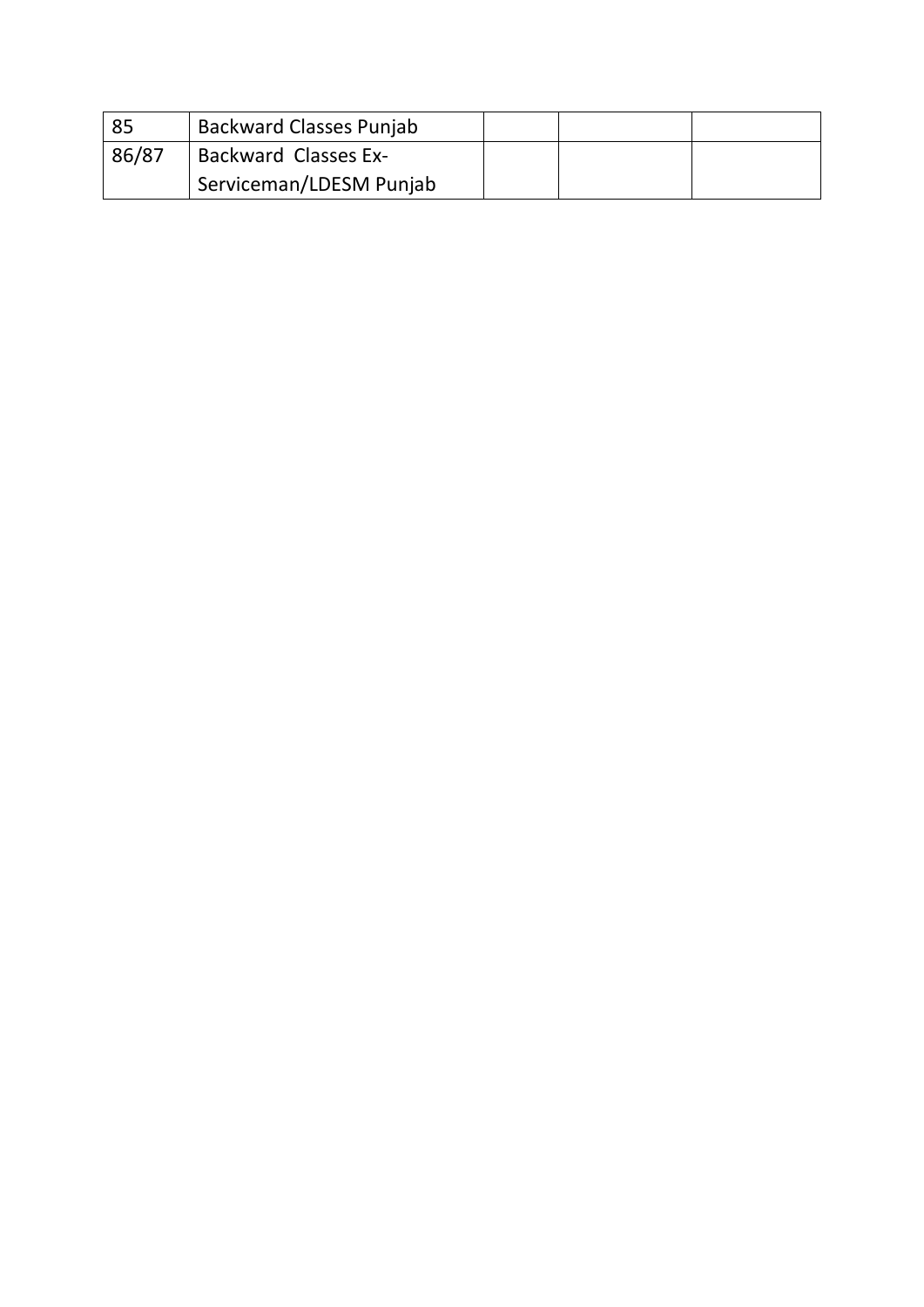|       | <b>Backward Classes Punjab</b> |  |  |
|-------|--------------------------------|--|--|
| 86/87 | <b>Backward Classes Ex-</b>    |  |  |
|       | Serviceman/LDESM Punjab        |  |  |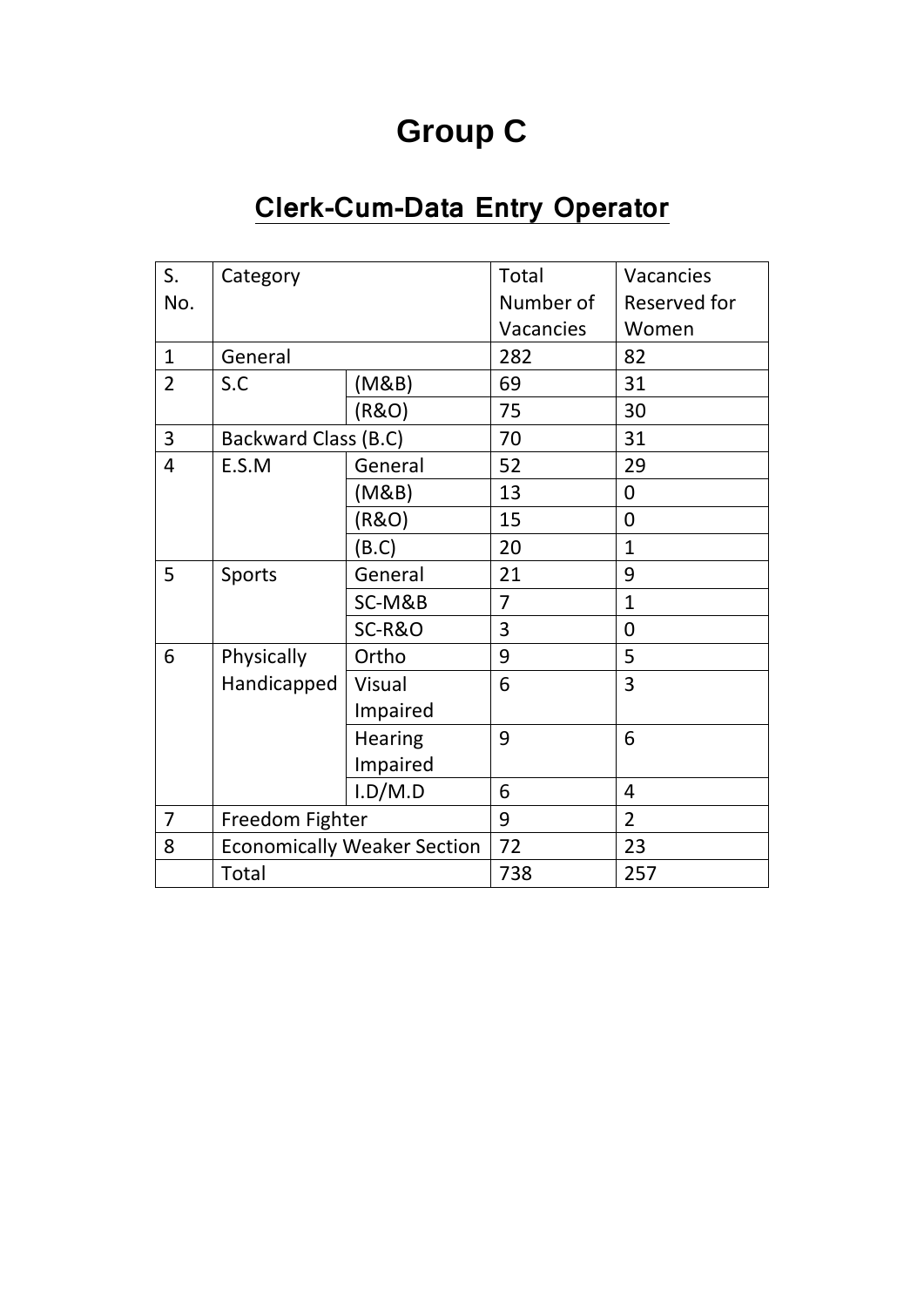# **Group C**

# **Clerk-Cum-Data Entry Operator**

| S.             | Category                           |                | <b>Total</b> | Vacancies      |
|----------------|------------------------------------|----------------|--------------|----------------|
| No.            |                                    |                | Number of    | Reserved for   |
|                |                                    |                | Vacancies    | Women          |
| $\mathbf{1}$   | General                            |                | 282          | 82             |
| $\overline{2}$ | S.C                                | (M&B)          | 69           | 31             |
|                |                                    | (R&O)          | 75           | 30             |
| 3              | <b>Backward Class (B.C)</b>        |                | 70           | 31             |
| 4              | E.S.M                              | General        | 52           | 29             |
|                |                                    | (M&B)          | 13           | 0              |
|                |                                    | (R&O)          | 15           | $\overline{0}$ |
|                |                                    | (B.C)          | 20           | $\mathbf{1}$   |
| 5              | <b>Sports</b>                      | General        | 21           | 9              |
|                |                                    | SC-M&B         | 7            | $\mathbf{1}$   |
|                |                                    | SC-R&O         | 3            | $\overline{0}$ |
| 6              | Physically                         | Ortho          | 9            | 5              |
|                | Handicapped                        | Visual         | 6            | 3              |
|                |                                    | Impaired       |              |                |
|                |                                    | <b>Hearing</b> | 9            | 6              |
|                |                                    | Impaired       |              |                |
|                |                                    | 1.D/M.D        | 6            | 4              |
| $\overline{7}$ | Freedom Fighter                    |                | 9            | $\overline{2}$ |
| 8              | <b>Economically Weaker Section</b> |                | 72           | 23             |
|                | Total                              |                | 738          | 257            |